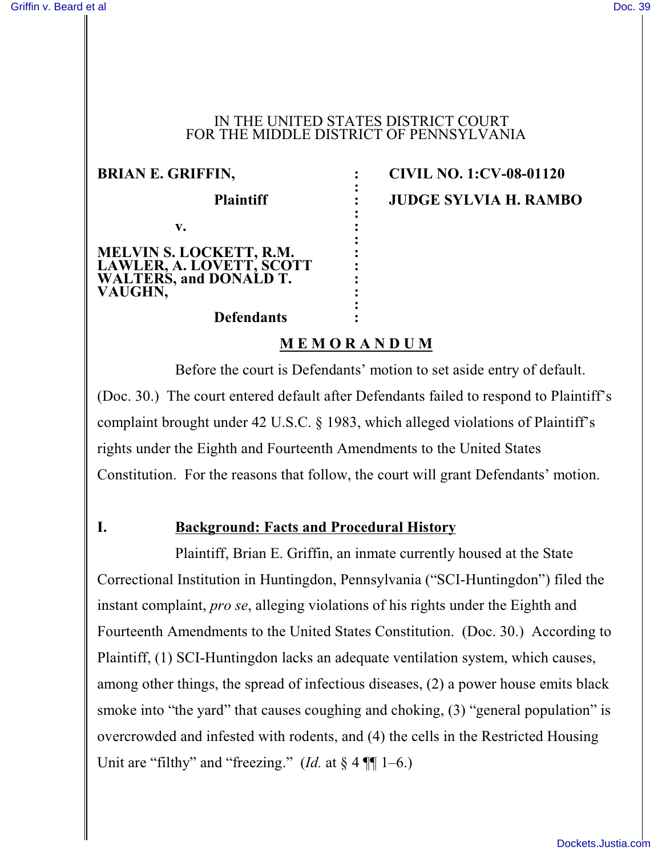#### IN THE UNITED STATES DISTRICT COURT FOR THE MIDDLE DISTRICT OF PENNSYLVANIA

**:**

**:**

**:**

**v. :**

**MELVIN S. LOCKETT, R.M. : LAWLER, A. LOVETT, SCOTT :** WALTERS, and **DONALD T. VAUGHN, :**

# **BRIAN E. GRIFFIN, : CIVIL NO. 1:CV-08-01120 Plaintiff : JUDGE SYLVIA H. RAMBO**

# **Defendants :**

## **M E M O R A N D U M**

**:**

Before the court is Defendants' motion to set aside entry of default. (Doc. 30.) The court entered default after Defendants failed to respond to Plaintiff's complaint brought under 42 U.S.C. § 1983, which alleged violations of Plaintiff's rights under the Eighth and Fourteenth Amendments to the United States Constitution. For the reasons that follow, the court will grant Defendants' motion.

## **I. Background: Facts and Procedural History**

Plaintiff, Brian E. Griffin, an inmate currently housed at the State Correctional Institution in Huntingdon, Pennsylvania ("SCI-Huntingdon") filed the instant complaint, *pro se*, alleging violations of his rights under the Eighth and Fourteenth Amendments to the United States Constitution. (Doc. 30.) According to Plaintiff, (1) SCI-Huntingdon lacks an adequate ventilation system, which causes, among other things, the spread of infectious diseases, (2) a power house emits black smoke into "the yard" that causes coughing and choking, (3) "general population" is overcrowded and infested with rodents, and (4) the cells in the Restricted Housing Unit are "filthy" and "freezing." (*Id.* at  $\S 4 \P\P 1-6$ .)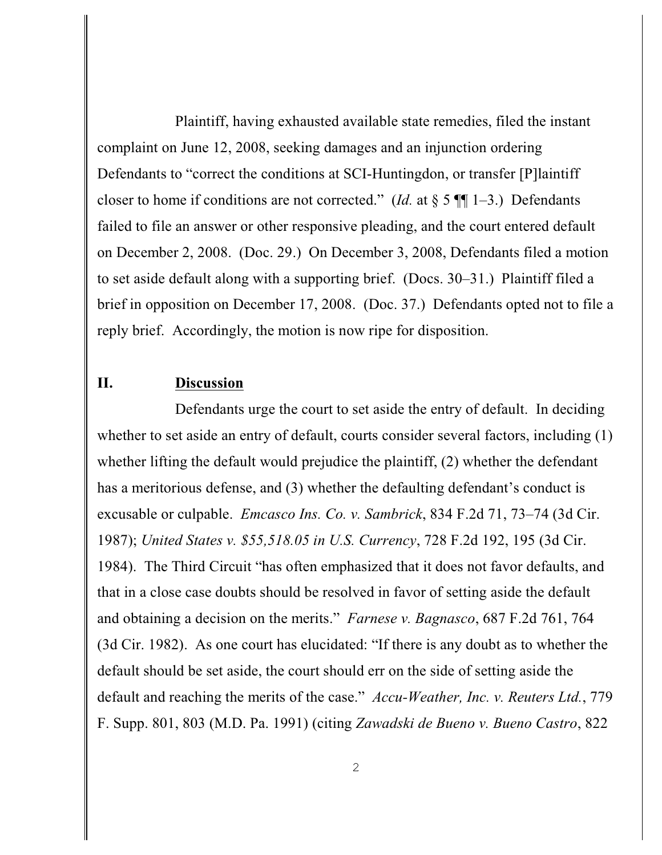Plaintiff, having exhausted available state remedies, filed the instant complaint on June 12, 2008, seeking damages and an injunction ordering Defendants to "correct the conditions at SCI-Huntingdon, or transfer [P]laintiff closer to home if conditions are not corrected." (*Id.* at  $\S 5 \P\P 1-3$ .) Defendants failed to file an answer or other responsive pleading, and the court entered default on December 2, 2008. (Doc. 29.) On December 3, 2008, Defendants filed a motion to set aside default along with a supporting brief. (Docs. 30–31.) Plaintiff filed a brief in opposition on December 17, 2008. (Doc. 37.) Defendants opted not to file a reply brief. Accordingly, the motion is now ripe for disposition.

### **II. Discussion**

Defendants urge the court to set aside the entry of default. In deciding whether to set aside an entry of default, courts consider several factors, including (1) whether lifting the default would prejudice the plaintiff, (2) whether the defendant has a meritorious defense, and (3) whether the defaulting defendant's conduct is excusable or culpable. *Emcasco Ins. Co. v. Sambrick*, 834 F.2d 71, 73–74 (3d Cir. 1987); *United States v. \$55,518.05 in U.S. Currency*, 728 F.2d 192, 195 (3d Cir. 1984). The Third Circuit "has often emphasized that it does not favor defaults, and that in a close case doubts should be resolved in favor of setting aside the default and obtaining a decision on the merits." *Farnese v. Bagnasco*, 687 F.2d 761, 764 (3d Cir. 1982). As one court has elucidated: "If there is any doubt as to whether the default should be set aside, the court should err on the side of setting aside the default and reaching the merits of the case." *Accu-Weather, Inc. v. Reuters Ltd.*, 779 F. Supp. 801, 803 (M.D. Pa. 1991) (citing *Zawadski de Bueno v. Bueno Castro*, 822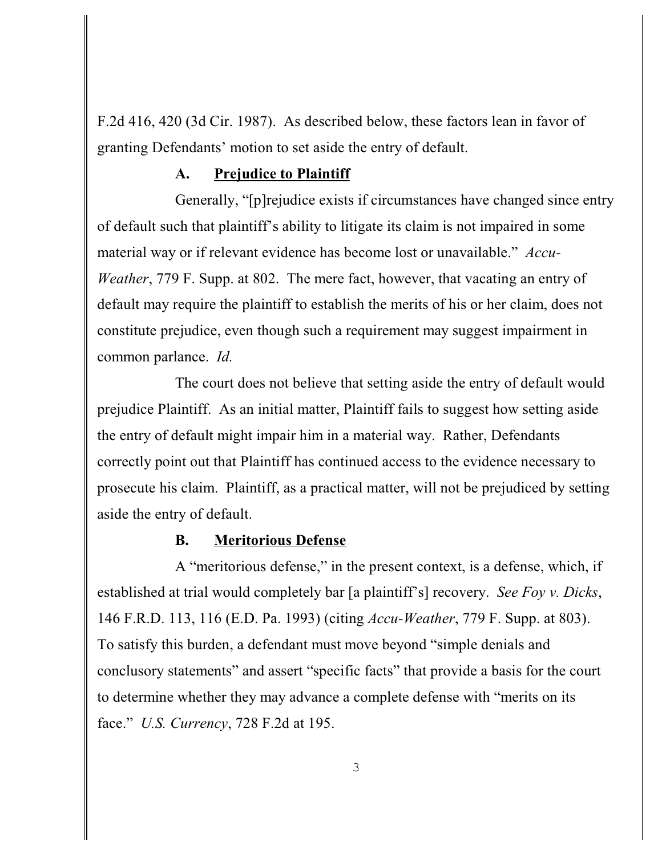F.2d 416, 420 (3d Cir. 1987). As described below, these factors lean in favor of granting Defendants' motion to set aside the entry of default.

### **A. Prejudice to Plaintiff**

Generally, "[p]rejudice exists if circumstances have changed since entry of default such that plaintiff's ability to litigate its claim is not impaired in some material way or if relevant evidence has become lost or unavailable." *Accu-Weather*, 779 F. Supp. at 802. The mere fact, however, that vacating an entry of default may require the plaintiff to establish the merits of his or her claim, does not constitute prejudice, even though such a requirement may suggest impairment in common parlance. *Id.*

The court does not believe that setting aside the entry of default would prejudice Plaintiff. As an initial matter, Plaintiff fails to suggest how setting aside the entry of default might impair him in a material way. Rather, Defendants correctly point out that Plaintiff has continued access to the evidence necessary to prosecute his claim. Plaintiff, as a practical matter, will not be prejudiced by setting aside the entry of default.

#### **B. Meritorious Defense**

A "meritorious defense," in the present context, is a defense, which, if established at trial would completely bar [a plaintiff's] recovery. *See Foy v. Dicks*, 146 F.R.D. 113, 116 (E.D. Pa. 1993) (citing *Accu-Weather*, 779 F. Supp. at 803). To satisfy this burden, a defendant must move beyond "simple denials and conclusory statements" and assert "specific facts" that provide a basis for the court to determine whether they may advance a complete defense with "merits on its face." *U.S. Currency*, 728 F.2d at 195.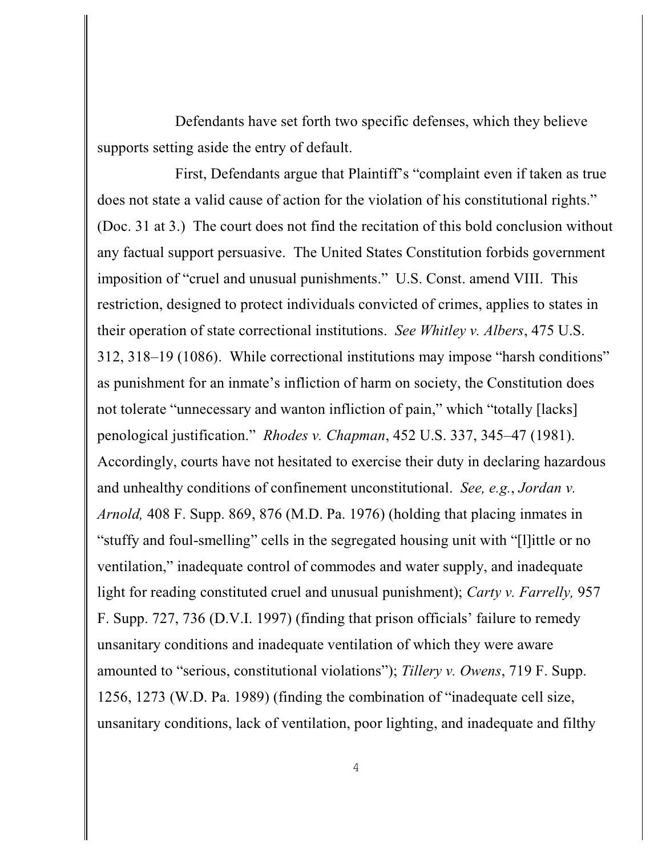Defendants have set forth two specific defenses, which they believe supports setting aside the entry of default.

First, Defendants argue that Plaintiff's "complaint even if taken as true does not state a valid cause of action for the violation of his constitutional rights." (Doc. 31 at 3.) The court does not find the recitation of this bold conclusion without any factual support persuasive. The United States Constitution forbids government imposition of "cruel and unusual punishments." U.S. Const. amend VIII. This restriction, designed to protect individuals convicted of crimes, applies to states in their operation of state correctional institutions. *See Whitley v. Albers*, 475 U.S. 312, 318–19 (1086). While correctional institutions may impose "harsh conditions" as punishment for an inmate's infliction of harm on society, the Constitution does not tolerate "unnecessary and wanton infliction of pain," which "totally [lacks] penological justification." *Rhodes v. Chapman*, 452 U.S. 337, 345–47 (1981). Accordingly, courts have not hesitated to exercise their duty in declaring hazardous and unhealthy conditions of confinement unconstitutional. *See, e.g.*, *Jordan v. Arnold,* 408 F. Supp. 869, 876 (M.D. Pa. 1976) (holding that placing inmates in "stuffy and foul-smelling" cells in the segregated housing unit with "[l]ittle or no ventilation," inadequate control of commodes and water supply, and inadequate light for reading constituted cruel and unusual punishment); *Carty v. Farrelly,* 957 F. Supp. 727, 736 (D.V.I. 1997) (finding that prison officials' failure to remedy unsanitary conditions and inadequate ventilation of which they were aware amounted to "serious, constitutional violations"); *Tillery v. Owens*, 719 F. Supp. 1256, 1273 (W.D. Pa. 1989) (finding the combination of "inadequate cell size, unsanitary conditions, lack of ventilation, poor lighting, and inadequate and filthy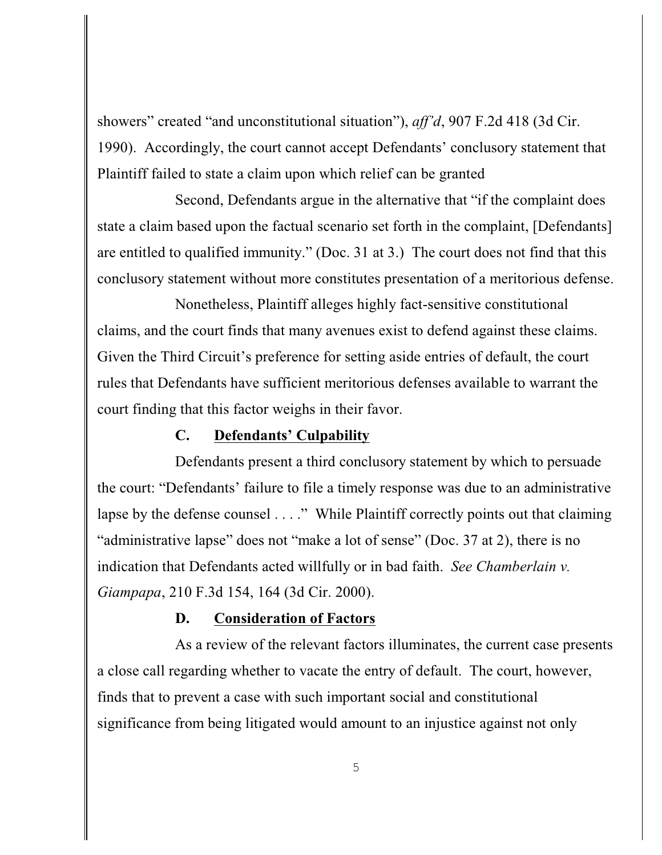showers" created "and unconstitutional situation"), *aff'd*, 907 F.2d 418 (3d Cir. 1990). Accordingly, the court cannot accept Defendants' conclusory statement that Plaintiff failed to state a claim upon which relief can be granted

Second, Defendants argue in the alternative that "if the complaint does state a claim based upon the factual scenario set forth in the complaint, [Defendants] are entitled to qualified immunity." (Doc. 31 at 3.) The court does not find that this conclusory statement without more constitutes presentation of a meritorious defense.

Nonetheless, Plaintiff alleges highly fact-sensitive constitutional claims, and the court finds that many avenues exist to defend against these claims. Given the Third Circuit's preference for setting aside entries of default, the court rules that Defendants have sufficient meritorious defenses available to warrant the court finding that this factor weighs in their favor.

#### **C. Defendants' Culpability**

Defendants present a third conclusory statement by which to persuade the court: "Defendants' failure to file a timely response was due to an administrative lapse by the defense counsel . . . ." While Plaintiff correctly points out that claiming "administrative lapse" does not "make a lot of sense" (Doc. 37 at 2), there is no indication that Defendants acted willfully or in bad faith. *See Chamberlain v. Giampapa*, 210 F.3d 154, 164 (3d Cir. 2000).

#### **D. Consideration of Factors**

As a review of the relevant factors illuminates, the current case presents a close call regarding whether to vacate the entry of default. The court, however, finds that to prevent a case with such important social and constitutional significance from being litigated would amount to an injustice against not only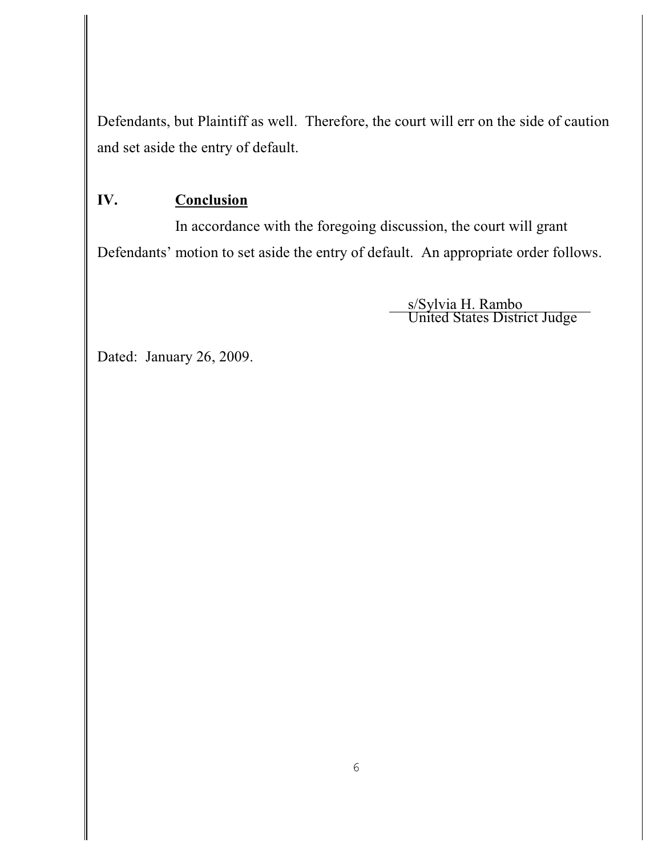Defendants, but Plaintiff as well. Therefore, the court will err on the side of caution and set aside the entry of default.

# **IV. Conclusion**

In accordance with the foregoing discussion, the court will grant Defendants' motion to set aside the entry of default. An appropriate order follows.

> s/Sylvia H. Rambo United States District Judge

Dated: January 26, 2009.